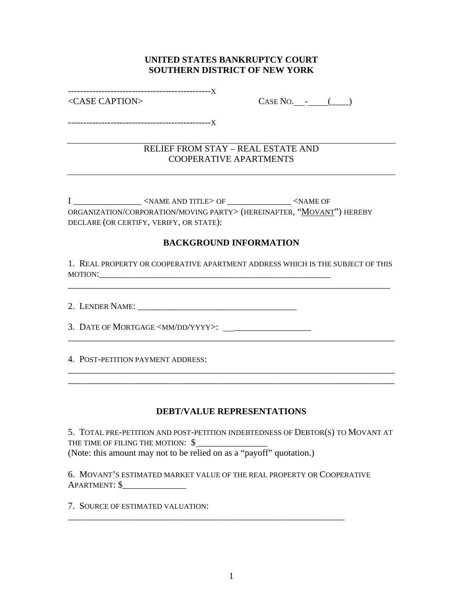### **UNITED STATES BANKRUPTCY COURT SOUTHERN DISTRICT OF NEW YORK**

.------------------------X

<CASE CAPTION> CASE NO. - (\_\_\_\_)

-----------------------------------------------X

## RELIEF FROM STAY – REAL ESTATE AND COOPERATIVE APARTMENTS

I <NAME AND TITLE> OF <NAME OF ORGANIZATION/CORPORATION/MOVING PARTY> (HEREINAFTER, "MOVANT") HEREBY DECLARE (OR CERTIFY, VERIFY, OR STATE):

# **BACKGROUND INFORMATION**

1. REAL PROPERTY OR COOPERATIVE APARTMENT ADDRESS WHICH IS THE SUBJECT OF THIS MOTION:

\_\_\_\_\_\_\_\_\_\_\_\_\_\_\_\_\_\_\_\_\_\_\_\_\_\_\_\_\_\_\_\_\_\_\_\_\_\_\_\_\_\_\_\_\_\_\_\_\_\_\_\_\_\_\_\_\_\_\_\_\_\_\_\_\_\_\_\_\_\_\_

\_\_\_\_\_\_\_\_\_\_\_\_\_\_\_\_\_\_\_\_\_\_\_\_\_\_\_\_\_\_\_\_\_\_\_\_\_\_\_\_\_\_\_\_\_\_\_\_\_\_\_\_\_\_\_\_\_\_\_\_\_\_\_\_\_\_\_\_\_\_\_\_

\_\_\_\_\_\_\_\_\_\_\_\_\_\_\_\_\_\_\_\_\_\_\_\_\_\_\_\_\_\_\_\_\_\_\_\_\_\_\_\_\_\_\_\_\_\_\_\_\_\_\_\_\_\_\_\_\_\_\_\_\_\_\_\_\_\_\_\_\_\_\_\_ \_\_\_\_\_\_\_\_\_\_\_\_\_\_\_\_\_\_\_\_\_\_\_\_\_\_\_\_\_\_\_\_\_\_\_\_\_\_\_\_\_\_\_\_\_\_\_\_\_\_\_\_\_\_\_\_\_\_\_\_\_\_\_\_\_\_\_\_\_\_\_\_

2. LENDER NAME:

3. DATE OF MORTGAGE <MM/DD/YYYY>: \_\_\_\_\_\_\_\_\_\_\_\_\_\_\_\_\_

4. POST-PETITION PAYMENT ADDRESS:

# **DEBT/VALUE REPRESENTATIONS**

5. TOTAL PRE-PETITION AND POST-PETITION INDEBTEDNESS OF DEBTOR(S) TO MOVANT AT THE TIME OF FILING THE MOTION:  $\frac{1}{2}$ (Note: this amount may not to be relied on as a "payoff" quotation.)

6. MOVANT'S ESTIMATED MARKET VALUE OF THE REAL PROPERTY OR COOPERATIVE APARTMENT: \$

\_\_\_\_\_\_\_\_\_\_\_\_\_\_\_\_\_\_\_\_\_\_\_\_\_\_\_\_\_\_\_\_\_\_\_\_\_\_\_\_\_\_\_\_\_\_\_\_\_\_\_\_\_\_\_\_\_\_\_\_\_

7. SOURCE OF ESTIMATED VALUATION: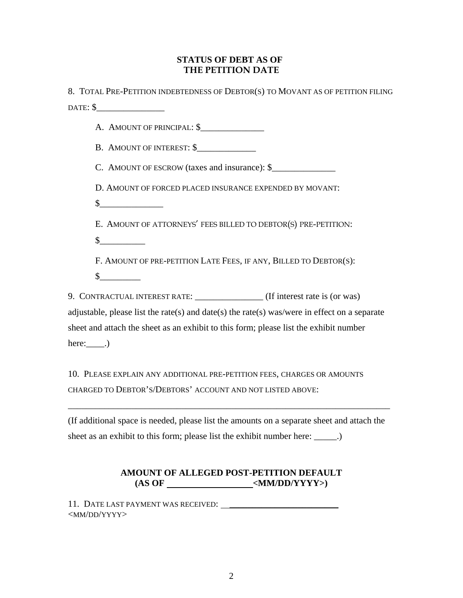# **STATUS OF DEBT AS OF THE PETITION DATE**

8. TOTAL PRE-PETITION INDEBTEDNESS OF DEBTOR(S) TO MOVANT AS OF PETITION FILING DATE:  $\$$ 

A. AMOUNT OF PRINCIPAL: \$

B. AMOUNT OF INTEREST: \$

C. AMOUNT OF ESCROW (taxes and insurance): \$

D. AMOUNT OF FORCED PLACED INSURANCE EXPENDED BY MOVANT:

 $\mathbb S$ 

E. AMOUNT OF ATTORNEYS' FEES BILLED TO DEBTOR(S) PRE-PETITION:

 $\sim$ 

F. AMOUNT OF PRE-PETITION LATE FEES, IF ANY, BILLED TO DEBTOR(S):

 $\mathbb S$ 

9. CONTRACTUAL INTEREST RATE: \_\_\_\_\_\_\_\_\_\_\_\_\_\_\_ (If interest rate is (or was) adjustable, please list the rate(s) and date(s) the rate(s) was/were in effect on a separate sheet and attach the sheet as an exhibit to this form; please list the exhibit number here: $\qquad \qquad .)$ 

10. PLEASE EXPLAIN ANY ADDITIONAL PRE-PETITION FEES, CHARGES OR AMOUNTS CHARGED TO DEBTOR'S/DEBTORS' ACCOUNT AND NOT LISTED ABOVE:

(If additional space is needed, please list the amounts on a separate sheet and attach the sheet as an exhibit to this form; please list the exhibit number here:  $\qquad \qquad$ .)

\_\_\_\_\_\_\_\_\_\_\_\_\_\_\_\_\_\_\_\_\_\_\_\_\_\_\_\_\_\_\_\_\_\_\_\_\_\_\_\_\_\_\_\_\_\_\_\_\_\_\_\_\_\_\_\_\_\_\_\_\_\_\_\_\_\_\_\_\_\_\_

# **AMOUNT OF ALLEGED POST-PETITION DEFAULT (AS OF <MM/DD/YYYY>)**

11. DATE LAST PAYMENT WAS RECEIVED: \_\_\_\_\_\_\_\_\_\_\_\_\_\_\_\_\_\_\_\_\_\_\_\_ <MM/DD/YYYY>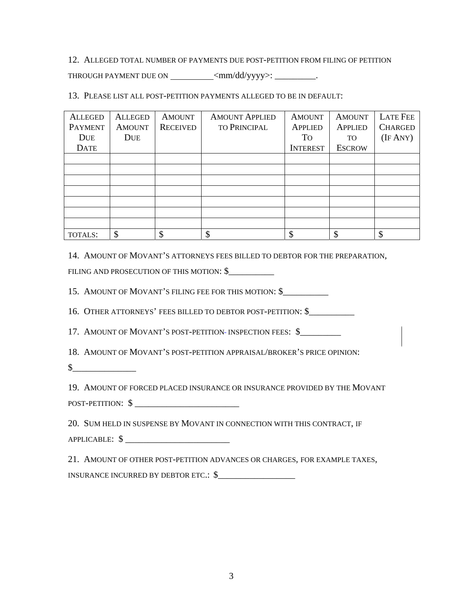#### 12. ALLEGED TOTAL NUMBER OF PAYMENTS DUE POST-PETITION FROM FILING OF PETITION

THROUGH PAYMENT DUE ON \_\_\_\_\_\_\_\_\_\_<mm/dd/yyyy>: \_\_\_\_\_\_\_\_\_.

13. PLEASE LIST ALL POST-PETITION PAYMENTS ALLEGED TO BE IN DEFAULT:

| <b>ALLEGED</b> | <b>ALLEGED</b> | <b>AMOUNT</b>   | <b>AMOUNT APPLIED</b> | <b>AMOUNT</b>   | <b>AMOUNT</b>  | <b>LATE FEE</b> |
|----------------|----------------|-----------------|-----------------------|-----------------|----------------|-----------------|
| <b>PAYMENT</b> | <b>AMOUNT</b>  | <b>RECEIVED</b> | <b>TO PRINCIPAL</b>   | <b>APPLIED</b>  | <b>APPLIED</b> | <b>CHARGED</b>  |
| <b>DUE</b>     | <b>DUE</b>     |                 |                       | <b>TO</b>       | <b>TO</b>      | (IF ANY)        |
| <b>DATE</b>    |                |                 |                       | <b>INTEREST</b> | <b>ESCROW</b>  |                 |
|                |                |                 |                       |                 |                |                 |
|                |                |                 |                       |                 |                |                 |
|                |                |                 |                       |                 |                |                 |
|                |                |                 |                       |                 |                |                 |
|                |                |                 |                       |                 |                |                 |
|                |                |                 |                       |                 |                |                 |
|                |                |                 |                       |                 |                |                 |
| TOTALS:        | ¢              | \$              | \$                    |                 | Φ              | \$              |

14. AMOUNT OF MOVANT'S ATTORNEYS FEES BILLED TO DEBTOR FOR THE PREPARATION, FILING AND PROSECUTION OF THIS MOTION: \$

15. AMOUNT OF MOVANT'S FILING FEE FOR THIS MOTION: \$

16. OTHER ATTORNEYS' FEES BILLED TO DEBTOR POST-PETITION: \$

17. AMOUNT OF MOVANT'S POST-PETITION-INSPECTION FEES: \$

18. AMOUNT OF MOVANT'S POST-PETITION APPRAISAL/BROKER'S PRICE OPINION:

 $\frac{\S_{\perp}}{\S_{\perp}}$ 

19. AMOUNT OF FORCED PLACED INSURANCE OR INSURANCE PROVIDED BY THE MOVANT POST-PETITION: \$

20. SUM HELD IN SUSPENSE BY MOVANT IN CONNECTION WITH THIS CONTRACT, IF

APPLICABLE: \$ \_\_\_\_\_\_\_\_\_\_\_\_\_\_\_\_\_\_\_\_\_\_\_

21. AMOUNT OF OTHER POST-PETITION ADVANCES OR CHARGES, FOR EXAMPLE TAXES, INSURANCE INCURRED BY DEBTOR ETC.: \$\_\_\_\_\_\_\_\_\_\_\_\_\_\_\_\_\_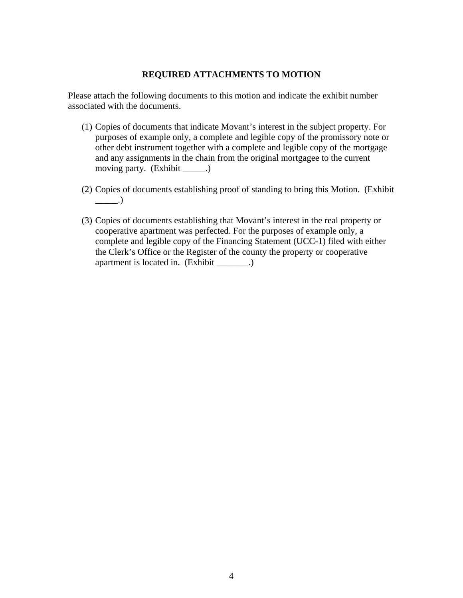### **REQUIRED ATTACHMENTS TO MOTION**

Please attach the following documents to this motion and indicate the exhibit number associated with the documents.

- (1) Copies of documents that indicate Movant's interest in the subject property. For purposes of example only, a complete and legible copy of the promissory note or other debt instrument together with a complete and legible copy of the mortgage and any assignments in the chain from the original mortgagee to the current moving party. (Exhibit \_\_\_\_\_.)
- (2) Copies of documents establishing proof of standing to bring this Motion. (Exhibit  $\Box$
- (3) Copies of documents establishing that Movant's interest in the real property or cooperative apartment was perfected. For the purposes of example only, a complete and legible copy of the Financing Statement (UCC-1) filed with either the Clerk's Office or the Register of the county the property or cooperative apartment is located in. (Exhibit \_\_\_\_\_\_\_.)